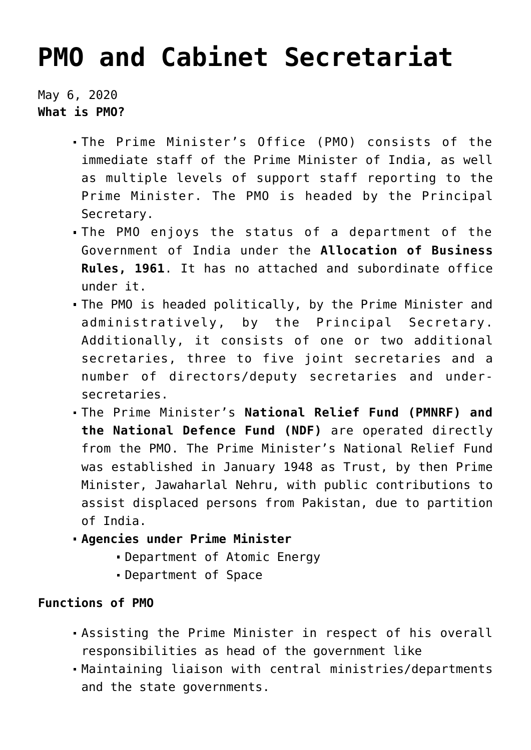## **[PMO and Cabinet Secretariat](https://journalsofindia.com/pmo-and-cabinet-secretariat/)**

May 6, 2020 **What is PMO?**

- The Prime Minister's Office (PMO) consists of the immediate staff of the Prime Minister of India, as well as multiple levels of support staff reporting to the Prime Minister. The PMO is headed by the Principal Secretary.
- The PMO enjoys the status of a department of the Government of India under the **Allocation of Business Rules, 1961**. It has no attached and subordinate office under it.
- The PMO is headed politically, by the Prime Minister and administratively, by the Principal Secretary. Additionally, it consists of one or two additional secretaries, three to five joint secretaries and a number of directors/deputy secretaries and undersecretaries.
- The Prime Minister's **National Relief Fund (PMNRF) and the National Defence Fund (NDF)** are operated directly from the PMO. The Prime Minister's National Relief Fund was established in January 1948 as Trust, by then Prime Minister, Jawaharlal Nehru, with public contributions to assist displaced persons from Pakistan, due to partition of India.
- **Agencies under Prime Minister**
	- Department of Atomic Energy
	- Department of Space

## **Functions of PMO**

- Assisting the Prime Minister in respect of his overall responsibilities as head of the government like
- Maintaining liaison with central ministries/departments and the state governments.